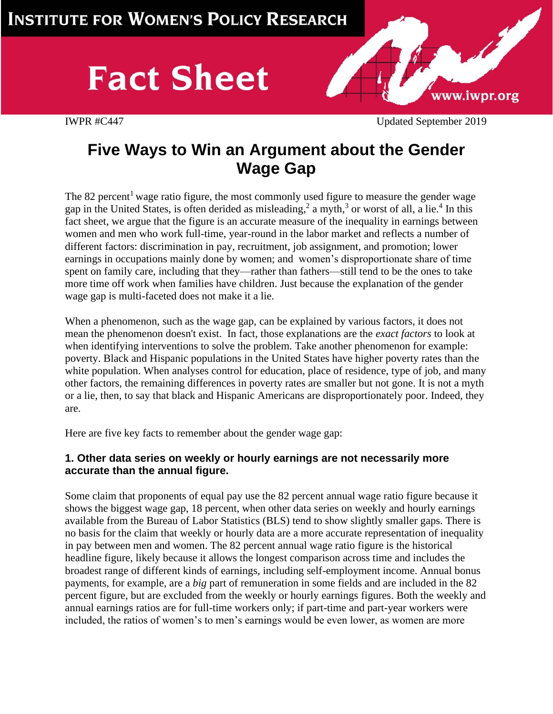# **Fact Sheet**



IWPR #C447 Updated September 2019

## **Five Ways to Win an Argument about the Gender Wage Gap**

The 82 percent<sup>1</sup> wage ratio figure, the most commonly used figure to measure the gender wage gap in the United States, is often derided as [misleading,](https://www.washingtonpost.com/news/fact-checker/wp/2014/04/09/president-obamas-persistent-77-cent-claim-on-the-wage-gap-gets-a-new-pinocchio-rating/)<sup>2</sup> a [myth,](http://www.wsj.com/articles/the-wage-gap-myth-that-wont-die-1443654408)<sup>3</sup> or worst of all, [a lie.](http://www.slate.com/articles/double_x/doublex/2013/08/gender_pay_gap_the_familiar_line_that_women_make_77_cents_to_every_man_s.html)<sup>4</sup> In this fact sheet, we argue that the figure is an accurate measure of the inequality in earnings between women and men who work full-time, year-round in the labor market and reflects a number of different factors: discrimination in pay, recruitment, job assignment, and promotion; lower earnings in occupations mainly done by women; and women's disproportionate share of time spent on family care, including that they—rather than fathers—still tend to be the ones to take more time off work when families have children. Just because the explanation of the gender wage gap is multi-faceted does not make it a lie.

When a phenomenon, such as the wage gap, can be explained by various factors, it does not mean the phenomenon doesn't exist. In fact, those explanations are the *exact factors* to look at when identifying interventions to solve the problem. Take another phenomenon for example: poverty. Black and Hispanic populations in the United States have higher poverty rates than the white population. When analyses control for education, place of residence, type of job, and many other factors, the remaining differences in poverty rates are smaller but not gone. It is not a myth or a lie, then, to say that black and Hispanic Americans are disproportionately poor. Indeed, they are.

Here are five key facts to remember about the gender wage gap:

#### **1. Other data series on weekly or hourly earnings are not necessarily more accurate than the annual figure.**

Some claim that proponents of equal pay use the 82 percent annual wage ratio figure because it shows the biggest wage gap, 18 percent, when other data series on weekly and hourly earnings available from the Bureau of Labor Statistics (BLS) tend to show slightly smaller gaps. There is no basis for the claim that weekly or hourly data are a more accurate representation of inequality in pay between men and women. The 82 percent annual wage ratio figure is the historical headline figure, likely because it allows the longest comparison across time and includes the broadest range of different kinds of earnings, including self-employment income. Annual bonus payments, for example, are a *big* part of remuneration in some fields and are included in the 82 percent figure, but are excluded from the weekly or hourly earnings figures. Both the weekly and annual earnings ratios are for full-time workers only; if part-time and part-year workers were included, the ratios of women's to men's earnings would be even lower, as women are more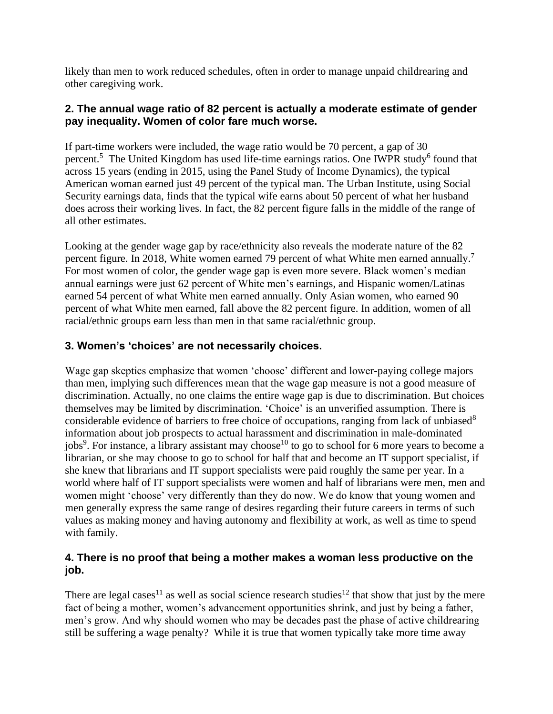likely than men to work reduced schedules, often in order to manage unpaid childrearing and other caregiving work.

#### **2. The annual wage ratio of 82 percent is actually a moderate estimate of gender pay inequality. Women of color fare much worse.**

If part-time workers were included, the wage ratio would be 70 percent, a [gap of 30](https://www.census.gov/content/dam/Census/library/publications/2015/demo/p60-252.pdf) [percent.](https://www.census.gov/content/dam/Census/library/publications/2015/demo/p60-252.pdf)<sup>5</sup> The United Kingdom has used life-time earnings ratios. One [IWPR study](http://www.iwpr.org/publications/pubs/still-a-mans-labor-market-the-long-term-earnings-gap)<sup>6</sup> found that across 15 years (ending in 2015, using the Panel Study of Income Dynamics), the typical American woman earned just 49 percent of the typical man. The Urban Institute, using Social Security earnings data, finds that the typical wife earns about 50 percent of what her husband does across their working lives. In fact, the 82 percent figure falls in the middle of the range of all other estimates.

Looking at the gender wage gap by race/ethnicity also reveals the moderate nature of the 82 percent figure. In 2018, White women earned 79 percent of what White men earned annually.<sup>7</sup> For most women of color, the gender wage gap is even more severe. Black women's median annual earnings were just 62 percent of White men's earnings, and Hispanic women/Latinas earned 54 percent of what White men earned annually. Only Asian women, who earned 90 percent of what White men earned, fall above the 82 percent figure. In addition, women of all racial/ethnic groups earn less than men in that same racial/ethnic group.

### **3. Women's 'choices' are not necessarily choices.**

Wage gap skeptics emphasize that women 'choose' different and lower-paying college majors than men, implying such differences mean that the wage gap measure is not a good measure of discrimination. Actually, no one claims the entire wage gap is due to discrimination. But choices themselves may be limited by discrimination. 'Choice' is an unverified assumption. There is considerable evidence of barriers to free choice of occupations, ranging from [lack of unbiased](http://www.iwpr.org/publications/pubs/working-first-but-working-poor-the-need-for-education-training-following-welfare-reform)<sup>8</sup> [information](http://www.iwpr.org/publications/pubs/working-first-but-working-poor-the-need-for-education-training-following-welfare-reform) [about job prospects](http://www.iwpr.org/publications/pubs/the-workforce-investment-act-and-women2019s-progress) to [actual harassment and discrimination in male-dominated](http://www.iwpr.org/publications/pubs/ending-sex-and-race-discrimination-in-theworkplace-legal-interventions-that-push-the-envelope-1)  [jobs](http://www.iwpr.org/publications/pubs/ending-sex-and-race-discrimination-in-theworkplace-legal-interventions-that-push-the-envelope-1)<sup>9</sup>. For instance, a library assistant [may choose](http://womenandgoodjobs.org/about-the-report/)<sup>10</sup> to go to school for 6 more years to become a librarian, or she may choose to go to school for half that and become an IT support specialist, if she knew that librarians and IT support specialists were paid roughly the same per year. In a world where half of IT support specialists were women and half of librarians were men, men and women might 'choose' very differently than they do now. We do know that young women and men generally express the same range of desires regarding their future careers in terms of such values as making money and having autonomy and flexibility at work, as well as time to spend with family.

### **4. There is no proof that being a mother makes a woman less productive on the job.**

There are [legal cases](http://worklifelaw.org/publications/)<sup>11</sup> as well as social science research [studies](http://asr.sagepub.com/content/75/5/705.full.pdf)<sup>12</sup> that show that just by the mere fact of being a mother, women's advancement opportunities shrink, and just by being a father, men's grow. And why should women who may be decades past the phase of active childrearing still be suffering a wage penalty? While it is true that women typically take more time away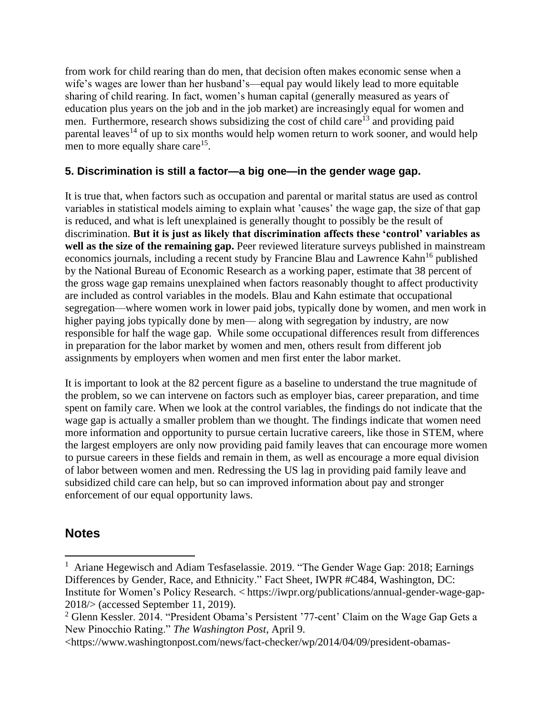from work for child rearing than do men, that decision often makes economic sense when a wife's wages are lower than her husband's—equal pay would likely lead to more equitable sharing of child rearing. In fact, women's human capital (generally measured as years of education plus years on the job and in the job market) are increasingly equal for women and men. Furthermore, research shows [subsidizing the cost of child care](http://www.iwpr.org/publications/pubs/keeping-moms-on-the-job-the-impacts-of-health-insurance-and-child-care-on-job-retention-and-mobility-among-low-income-mothers)<sup>13</sup> and providing paid [parental leaves](http://qje.oxfordjournals.org/content/113/1/285.short)<sup>14</sup> of up to six months would help women return to work sooner, and would help men [to more equally share care](http://www.oecd-ilibrary.org/social-issues-migration-health/oecd-social-employment-and-migration-working-papers_1815199x;jsessionid=jrqtm8l9unhh.x-oecd-live-03)<sup>15</sup>.

#### **5. Discrimination is still a factor—a big one—in the gender wage gap.**

It is true that, when factors such as occupation and parental or marital status are used as control variables in statistical models aiming to explain what 'causes' the wage gap, the size of that gap is reduced, and what is left unexplained is generally thought to possibly be the result of discrimination. **But it is just as likely that discrimination affects these 'control' variables as well as the size of the remaining gap.** Peer reviewed literature surveys published in mainstream economics journals, including a recent study by Francine Blau [and Lawrence Kahn](http://www.nber.org/papers/w21913)<sup>16</sup> published by the National Bureau of Economic Research as a working paper, estimate that 38 percent of the gross wage gap remains unexplained when factors reasonably thought to affect productivity are included as control variables in the models. Blau and Kahn estimate that occupational segregation—where women work in lower paid jobs, typically done by women, and men work in higher paying jobs typically done by men— along with segregation by industry, are now responsible for half the wage gap. While some occupational differences result from differences in preparation for the labor market by women and men, others result from different job assignments by employers when women and men first enter the labor market.

It is important to look at the 82 percent figure as a baseline to understand the true magnitude of the problem, so we can intervene on factors such as employer bias, career preparation, and time spent on family care. When we look at the control variables, the findings do not indicate that the wage gap is actually a smaller problem than we thought. The findings indicate that women need more information and opportunity to pursue certain lucrative careers, like those in STEM, where the largest employers are only now providing paid family leaves that can encourage more women to pursue careers in these fields and remain in them, as well as encourage a more equal division of labor between women and men. Redressing the US lag in providing paid family leave and subsidized child care can help, but so can improved information about pay and stronger enforcement of our equal opportunity laws.

### **Notes**

<sup>&</sup>lt;sup>1</sup> Ariane Hegewisch and Adiam Tesfaselassie. 2019. "The Gender Wage Gap: 2018; Earnings Differences by Gender, Race, and Ethnicity." Fact Sheet, IWPR #C484, Washington, DC: Institute for Women's Policy Research. < https://iwpr.org/publications/annual-gender-wage-gap-2018/> (accessed September 11, 2019).

<sup>&</sup>lt;sup>2</sup> Glenn Kessler. 2014. "President Obama's Persistent '77-cent' Claim on the Wage Gap Gets a New Pinocchio Rating." *The Washington Post*, April 9.

[<sup>&</sup>lt;https://www.washingtonpost.com/news/fact-checker/wp/2014/04/09/president-obamas-](https://www.washingtonpost.com/news/fact-checker/wp/2014/04/09/president-obamas-persistent-77-cent-claim-on-the-wage-gap-gets-a-new-pinocchio-rating/)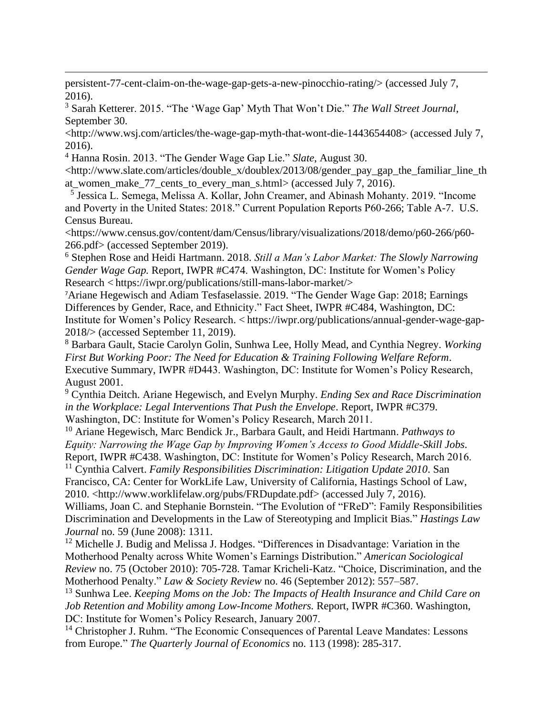[persistent-77-cent-claim-on-the-wage-gap-gets-a-new-pinocchio-rating/>](https://www.washingtonpost.com/news/fact-checker/wp/2014/04/09/president-obamas-persistent-77-cent-claim-on-the-wage-gap-gets-a-new-pinocchio-rating/) (accessed July 7, 2016).

<sup>3</sup> Sarah Ketterer. 2015. "The 'Wage Gap' Myth That Won't Die." *The Wall Street Journal*, September 30.

[<http://www.wsj.com/articles/the-wage-gap-myth-that-wont-die-1443654408>](http://www.wsj.com/articles/the-wage-gap-myth-that-wont-die-1443654408) (accessed July 7, 2016).

<sup>4</sup> Hanna Rosin. 2013. "The Gender Wage Gap Lie." *Slate*, August 30.

[<http://www.slate.com/articles/double\\_x/doublex/2013/08/gender\\_pay\\_gap\\_the\\_familiar\\_line\\_th](http://www.slate.com/articles/double_x/doublex/2013/08/gender_pay_gap_the_familiar_line_that_women_make_77_cents_to_every_man_s.html) at women make 77 cents to\_every\_man\_s.html> (accessed July 7, 2016).

5 Jessica L. Semega, Melissa A. Kollar, John Creamer, and Abinash Mohanty. 2019. "Income and Poverty in the United States: 2018." Current Population Reports P60-266; Table A-7. U.S. Census Bureau.

<https://www.census.gov/content/dam/Census/library/visualizations/2018/demo/p60-266/p60- 266.pdf> (accessed September 2019).

<sup>6</sup> Stephen Rose and Heidi Hartmann. 2018. *Still a Man's Labor Market: The Slowly Narrowing Gender Wage Gap.* Report, IWPR #C474. Washington, DC: Institute for Women's Policy Research < https://iwpr.org/publications/still-mans-labor-market/>

<sup>7</sup>Ariane Hegewisch and Adiam Tesfaselassie. 2019. "The Gender Wage Gap: 2018; Earnings Differences by Gender, Race, and Ethnicity." Fact Sheet, IWPR #C484, Washington, DC: Institute for Women's Policy Research. < https://iwpr.org/publications/annual-gender-wage-gap-2018/> (accessed September 11, 2019).

<sup>8</sup> Barbara Gault, Stacie Carolyn Golin, Sunhwa Lee, Holly Mead, and Cynthia Negrey. *Working First But Working Poor: The Need for Education & Training Following Welfare Reform*. Executive Summary, IWPR #D443. Washington, DC: Institute for Women's Policy Research, August 2001.

<sup>9</sup> Cynthia Deitch. Ariane Hegewisch, and Evelyn Murphy. *Ending Sex and Race Discrimination in the Workplace: Legal Interventions That Push the Envelope*. Report, IWPR #C379. Washington, DC: Institute for Women's Policy Research, March 2011.

<sup>10</sup> Ariane Hegewisch, Marc Bendick Jr., Barbara Gault, and Heidi Hartmann. *Pathways to Equity: Narrowing the Wage Gap by Improving Women's Access to Good Middle-Skill Jobs*. Report, IWPR #C438. Washington, DC: Institute for Women's Policy Research, March 2016.

<sup>11</sup> Cynthia Calvert. *Family Responsibilities Discrimination: Litigation Update 2010*. San Francisco, CA: Center for WorkLife Law, University of California, Hastings School of Law, 2010. [<http://www.worklifelaw.org/pubs/FRDupdate.pdf>](http://www.worklifelaw.org/pubs/FRDupdate.pdf) (accessed July 7, 2016).

Williams, Joan C. and Stephanie Bornstein. "The Evolution of "FReD": Family Responsibilities Discrimination and Developments in the Law of Stereotyping and Implicit Bias." *Hastings Law Journal* no. 59 (June 2008): 1311.

<sup>12</sup> Michelle J. Budig and Melissa J. Hodges. "Differences in Disadvantage: Variation in the Motherhood Penalty across White Women's Earnings Distribution." *American Sociological Review* no. 75 (October 2010): 705-728. Tamar Kricheli-Katz. "Choice, Discrimination, and the Motherhood Penalty." *Law & Society Review* no. 46 (September 2012): 557–587.

<sup>13</sup> Sunhwa Lee. *Keeping Moms on the Job: The Impacts of Health Insurance and Child Care on Job Retention and Mobility among Low-Income Mothers.* Report, IWPR #C360. Washington, DC: Institute for Women's Policy Research, January 2007.

<sup>14</sup> Christopher J. Ruhm. "The Economic Consequences of Parental Leave Mandates: Lessons from Europe." *The Quarterly Journal of Economics* no. 113 (1998): 285-317.